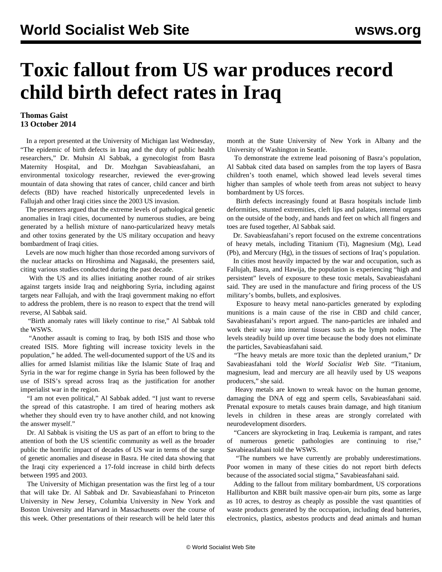## **Toxic fallout from US war produces record child birth defect rates in Iraq**

## **Thomas Gaist 13 October 2014**

 In a report presented at the University of Michigan last Wednesday, "The epidemic of birth defects in Iraq and the duty of public health researchers," Dr. Muhsin Al Sabbak, a gynecologist from Basra Maternity Hospital, and Dr. Mozhgan Savabieasfahani, an environmental toxicology researcher, reviewed the ever-growing mountain of data showing that rates of cancer, child cancer and birth defects (BD) have reached historically unprecedented levels in Fallujah and other Iraqi cities since the 2003 US invasion.

 The presenters argued that the extreme levels of pathological genetic anomalies in Iraqi cities, documented by numerous studies, are being generated by a hellish mixture of nano-particularized heavy metals and other toxins generated by the US military occupation and heavy bombardment of Iraqi cities.

 Levels are now much higher than those recorded among survivors of the nuclear attacks on Hiroshima and Nagasaki, the presenters said, citing various studies conducted during the past decade.

 With the US and its allies initiating another round of air strikes against targets inside Iraq and neighboring Syria, including against targets near Fallujah, and with the Iraqi government making no effort to address the problem, there is no reason to expect that the trend will reverse, Al Sabbak said.

 "Birth anomaly rates will likely continue to rise," Al Sabbak told the WSWS.

 "Another assault is coming to Iraq, by both ISIS and those who created ISIS. More fighting will increase toxicity levels in the population," he added. The well-documented support of the US and its allies for armed Islamist militias like the Islamic State of Iraq and Syria in the war for regime change in Syria has been followed by the use of ISIS's spread across Iraq as the justification for another imperialist war in the region.

 "I am not even political," Al Sabbak added. "I just want to reverse the spread of this catastrophe. I am tired of hearing mothers ask whether they should even try to have another child, and not knowing the answer myself."

 Dr. Al Sabbak is visiting the US as part of an effort to bring to the attention of both the US scientific community as well as the broader public the horrific impact of decades of US war in terms of the surge of genetic anomalies and disease in Basra. He cited data showing that the Iraqi city experienced a 17-fold increase in child birth defects between 1995 and 2003.

 The University of Michigan presentation was the first leg of a tour that will take Dr. Al Sabbak and Dr. Savabieasfahani to Princeton University in New Jersey, Columbia University in New York and Boston University and Harvard in Massachusetts over the course of this week. Other presentations of their research will be held later this month at the State University of New York in Albany and the University of Washington in Seattle.

 To demonstrate the extreme lead poisoning of Basra's population, Al Sabbak cited data based on samples from the top layers of Basra children's tooth enamel, which showed lead levels several times higher than samples of whole teeth from areas not subject to heavy bombardment by US forces.

 Birth defects increasingly found at Basra hospitals include limb deformities, stunted extremities, cleft lips and palates, internal organs on the outside of the body, and hands and feet on which all fingers and toes are fused together, Al Sabbak said.

 Dr. Savabieasfahani's report focused on the extreme concentrations of heavy metals, including Titanium (Ti), Magnesium (Mg), Lead (Pb), and Mercury (Hg), in the tissues of sections of Iraq's population.

 In cities most heavily impacted by the war and occupation, such as Fallujah, Basra, and Hawija, the population is experiencing "high and persistent" levels of exposure to these toxic metals, Savabieasfahani said. They are used in the manufacture and firing process of the US military's bombs, bullets, and explosives.

 Exposure to heavy metal nano-particles generated by exploding munitions is a main cause of the rise in CBD and child cancer, Savabieasfahani's report argued. The nano-particles are inhaled and work their way into internal tissues such as the lymph nodes. The levels steadily build up over time because the body does not eliminate the particles, Savabieasfahani said.

 "The heavy metals are more toxic than the depleted uranium," Dr Savabieasfahani told the *World Socialist Web Site*. "Titanium, magnesium, lead and mercury are all heavily used by US weapons producers," she said.

 Heavy metals are known to wreak havoc on the human genome, damaging the DNA of egg and sperm cells, Savabieasfahani said. Prenatal exposure to metals causes brain damage, and high titanium levels in children in these areas are strongly correlated with neurodevelopment disorders.

 "Cancers are skyrocketing in Iraq. Leukemia is rampant, and rates of numerous genetic pathologies are continuing to rise," Savabieasfahani told the WSWS.

 "The numbers we have currently are probably underestimations. Poor women in many of these cities do not report birth defects because of the associated social stigma," Savabieasfahani said.

 Adding to the fallout from military bombardment, US corporations Halliburton and KBR built massive open-air burn pits, some as large as 10 acres, to destroy as cheaply as possible the vast quantities of waste products generated by the occupation, including dead batteries, electronics, plastics, asbestos products and dead animals and human